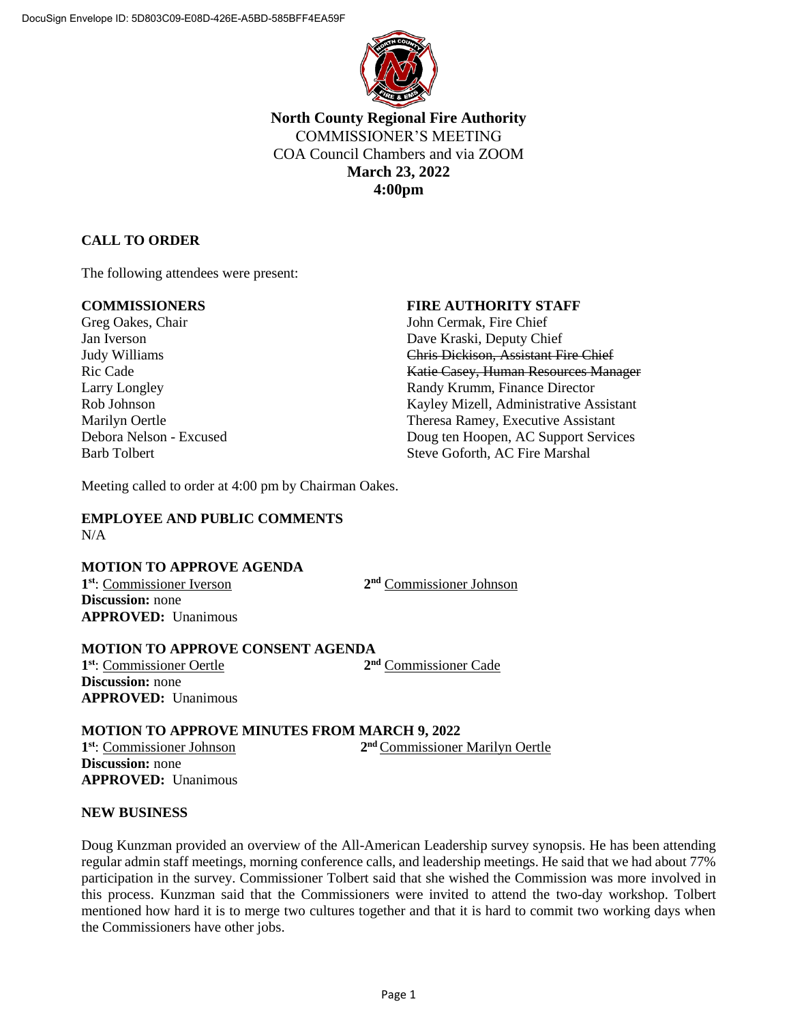

**North County Regional Fire Authority** COMMISSIONER'S MEETING COA Council Chambers and via ZOOM **March 23, 2022 4:00pm**

# **CALL TO ORDER**

The following attendees were present:

Greg Oakes, Chair **Iohn Cermak**, Fire Chief

# **COMMISSIONERS FIRE AUTHORITY STAFF**

Jan Iverson Dave Kraski, Deputy Chief Judy Williams Chris Dickison, Assistant Fire Chief Ric Cade **Katie Casey, Human Resources Manager** Larry Longley **Randy Krumm, Finance Director** Randy Krumm, Finance Director Rob Johnson Kayley Mizell, Administrative Assistant Marilyn Oertle Theresa Ramey, Executive Assistant Debora Nelson - Excused Doug ten Hoopen, AC Support Services Barb Tolbert Steve Goforth, AC Fire Marshal

Meeting called to order at 4:00 pm by Chairman Oakes.

#### **EMPLOYEE AND PUBLIC COMMENTS** N/A

## **MOTION TO APPROVE AGENDA**

**1 st**: Commissioner Iverson **2 Discussion:** none **APPROVED:** Unanimous

2<sup>nd</sup> Commissioner Johnson

#### **MOTION TO APPROVE CONSENT AGENDA**

**1 st**: Commissioner Oertle **2 Discussion:** none **APPROVED:** Unanimous

2<sup>nd</sup> Commissioner Cade

## **MOTION TO APPROVE MINUTES FROM MARCH 9, 2022**

**1 st**: Commissioner Johnson **2** 2<sup>nd</sup> Commissioner Marilyn Oertle **Discussion:** none **APPROVED:** Unanimous

## **NEW BUSINESS**

Doug Kunzman provided an overview of the All-American Leadership survey synopsis. He has been attending regular admin staff meetings, morning conference calls, and leadership meetings. He said that we had about 77% participation in the survey. Commissioner Tolbert said that she wished the Commission was more involved in this process. Kunzman said that the Commissioners were invited to attend the two-day workshop. Tolbert mentioned how hard it is to merge two cultures together and that it is hard to commit two working days when the Commissioners have other jobs.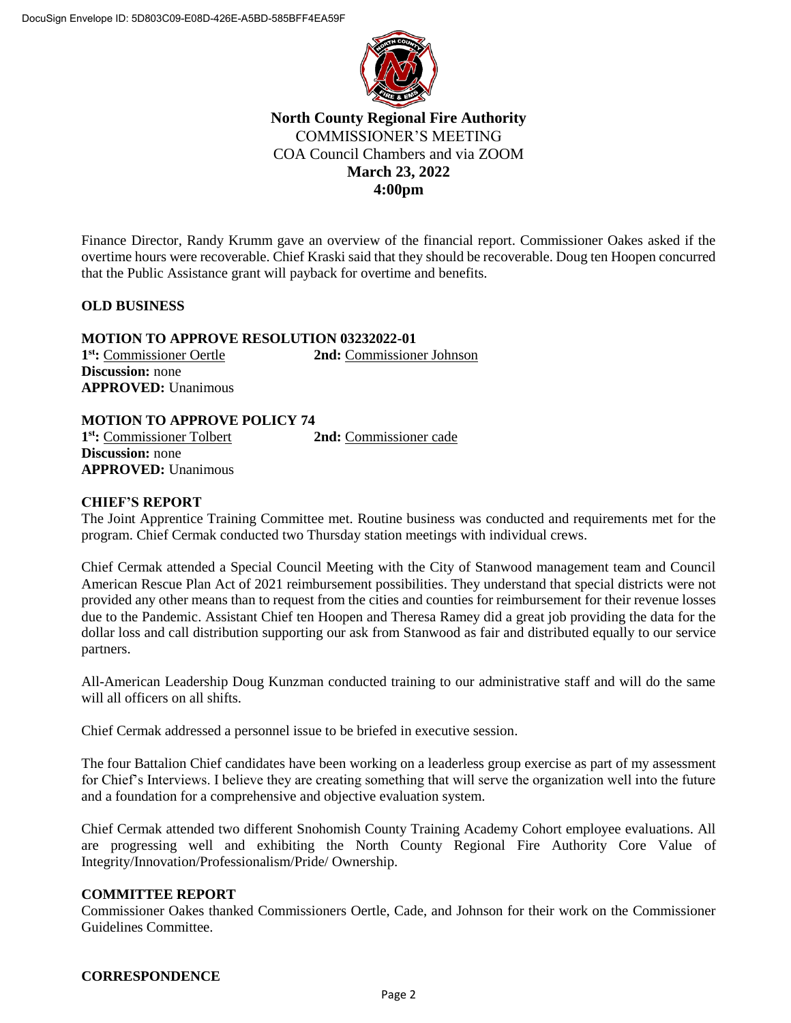

# **North County Regional Fire Authority** COMMISSIONER'S MEETING COA Council Chambers and via ZOOM **March 23, 2022 4:00pm**

Finance Director, Randy Krumm gave an overview of the financial report. Commissioner Oakes asked if the overtime hours were recoverable. Chief Kraski said that they should be recoverable. Doug ten Hoopen concurred that the Public Assistance grant will payback for overtime and benefits.

# **OLD BUSINESS**

**MOTION TO APPROVE RESOLUTION 03232022-01 1 st:** Commissioner Oertle **2nd:** Commissioner Johnson **Discussion:** none **APPROVED:** Unanimous

# **MOTION TO APPROVE POLICY 74**

**1 st:** Commissioner Tolbert **2nd:** Commissioner cade **Discussion:** none **APPROVED:** Unanimous

# **CHIEF'S REPORT**

The Joint Apprentice Training Committee met. Routine business was conducted and requirements met for the program. Chief Cermak conducted two Thursday station meetings with individual crews.

Chief Cermak attended a Special Council Meeting with the City of Stanwood management team and Council American Rescue Plan Act of 2021 reimbursement possibilities. They understand that special districts were not provided any other means than to request from the cities and counties for reimbursement for their revenue losses due to the Pandemic. Assistant Chief ten Hoopen and Theresa Ramey did a great job providing the data for the dollar loss and call distribution supporting our ask from Stanwood as fair and distributed equally to our service partners.

All-American Leadership Doug Kunzman conducted training to our administrative staff and will do the same will all officers on all shifts.

Chief Cermak addressed a personnel issue to be briefed in executive session.

The four Battalion Chief candidates have been working on a leaderless group exercise as part of my assessment for Chief's Interviews. I believe they are creating something that will serve the organization well into the future and a foundation for a comprehensive and objective evaluation system.

Chief Cermak attended two different Snohomish County Training Academy Cohort employee evaluations. All are progressing well and exhibiting the North County Regional Fire Authority Core Value of Integrity/Innovation/Professionalism/Pride/ Ownership.

## **COMMITTEE REPORT**

Commissioner Oakes thanked Commissioners Oertle, Cade, and Johnson for their work on the Commissioner Guidelines Committee.

## **CORRESPONDENCE**